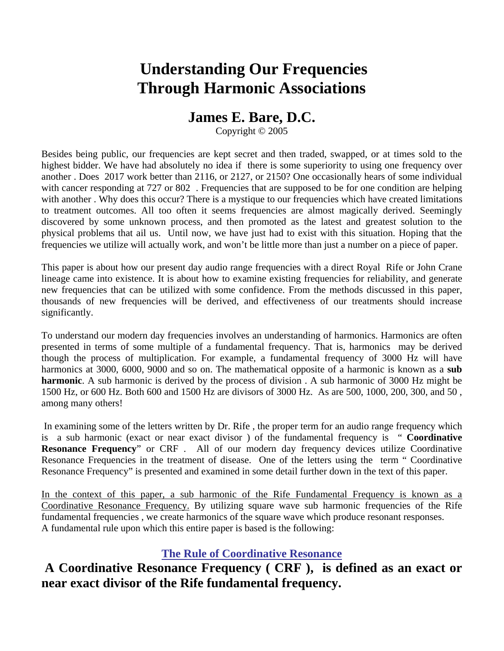# **Understanding Our Frequencies Through Harmonic Associations**

## **James E. Bare, D.C.**

Copyright © 2005

Besides being public, our frequencies are kept secret and then traded, swapped, or at times sold to the highest bidder. We have had absolutely no idea if there is some superiority to using one frequency over another . Does 2017 work better than 2116, or 2127, or 2150? One occasionally hears of some individual with cancer responding at 727 or 802. Frequencies that are supposed to be for one condition are helping with another . Why does this occur? There is a mystique to our frequencies which have created limitations to treatment outcomes. All too often it seems frequencies are almost magically derived. Seemingly discovered by some unknown process, and then promoted as the latest and greatest solution to the physical problems that ail us. Until now, we have just had to exist with this situation. Hoping that the frequencies we utilize will actually work, and won't be little more than just a number on a piece of paper.

This paper is about how our present day audio range frequencies with a direct Royal Rife or John Crane lineage came into existence. It is about how to examine existing frequencies for reliability, and generate new frequencies that can be utilized with some confidence. From the methods discussed in this paper, thousands of new frequencies will be derived, and effectiveness of our treatments should increase significantly.

To understand our modern day frequencies involves an understanding of harmonics. Harmonics are often presented in terms of some multiple of a fundamental frequency. That is, harmonics may be derived though the process of multiplication. For example, a fundamental frequency of 3000 Hz will have harmonics at 3000, 6000, 9000 and so on. The mathematical opposite of a harmonic is known as a **sub harmonic**. A sub harmonic is derived by the process of division . A sub harmonic of 3000 Hz might be 1500 Hz, or 600 Hz. Both 600 and 1500 Hz are divisors of 3000 Hz. As are 500, 1000, 200, 300, and 50 , among many others!

 In examining some of the letters written by Dr. Rife , the proper term for an audio range frequency which is a sub harmonic (exact or near exact divisor ) of the fundamental frequency is " **Coordinative Resonance Frequency**" or CRF . All of our modern day frequency devices utilize Coordinative Resonance Frequencies in the treatment of disease. One of the letters using the term " Coordinative Resonance Frequency" is presented and examined in some detail further down in the text of this paper.

In the context of this paper, a sub harmonic of the Rife Fundamental Frequency is known as a Coordinative Resonance Frequency. By utilizing square wave sub harmonic frequencies of the Rife fundamental frequencies , we create harmonics of the square wave which produce resonant responses. A fundamental rule upon which this entire paper is based is the following:

## **The Rule of Coordinative Resonance**

## **A Coordinative Resonance Frequency ( CRF ), is defined as an exact or near exact divisor of the Rife fundamental frequency.**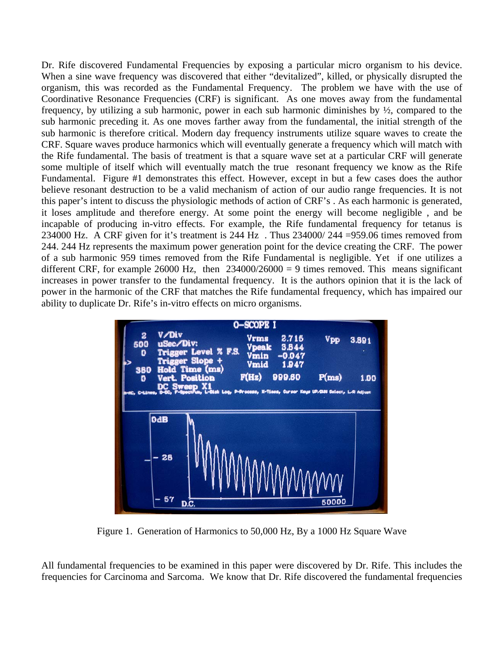Dr. Rife discovered Fundamental Frequencies by exposing a particular micro organism to his device. When a sine wave frequency was discovered that either "devitalized", killed, or physically disrupted the organism, this was recorded as the Fundamental Frequency. The problem we have with the use of Coordinative Resonance Frequencies (CRF) is significant. As one moves away from the fundamental frequency, by utilizing a sub harmonic, power in each sub harmonic diminishes by  $\frac{1}{2}$ , compared to the sub harmonic preceding it. As one moves farther away from the fundamental, the initial strength of the sub harmonic is therefore critical. Modern day frequency instruments utilize square waves to create the CRF. Square waves produce harmonics which will eventually generate a frequency which will match with the Rife fundamental. The basis of treatment is that a square wave set at a particular CRF will generate some multiple of itself which will eventually match the true resonant frequency we know as the Rife Fundamental. Figure #1 demonstrates this effect. However, except in but a few cases does the author believe resonant destruction to be a valid mechanism of action of our audio range frequencies. It is not this paper's intent to discuss the physiologic methods of action of CRF's . As each harmonic is generated, it loses amplitude and therefore energy. At some point the energy will become negligible , and be incapable of producing in-vitro effects. For example, the Rife fundamental frequency for tetanus is 234000 Hz. A CRF given for it's treatment is 244 Hz . Thus 234000/ 244 =959.06 times removed from 244. 244 Hz represents the maximum power generation point for the device creating the CRF. The power of a sub harmonic 959 times removed from the Rife Fundamental is negligible. Yet if one utilizes a different CRF, for example 26000 Hz, then  $234000/26000 = 9$  times removed. This means significant increases in power transfer to the fundamental frequency. It is the authors opinion that it is the lack of power in the harmonic of the CRF that matches the Rife fundamental frequency, which has impaired our ability to duplicate Dr. Rife's in-vitro effects on micro organisms.



Figure 1. Generation of Harmonics to 50,000 Hz, By a 1000 Hz Square Wave

All fundamental frequencies to be examined in this paper were discovered by Dr. Rife. This includes the frequencies for Carcinoma and Sarcoma. We know that Dr. Rife discovered the fundamental frequencies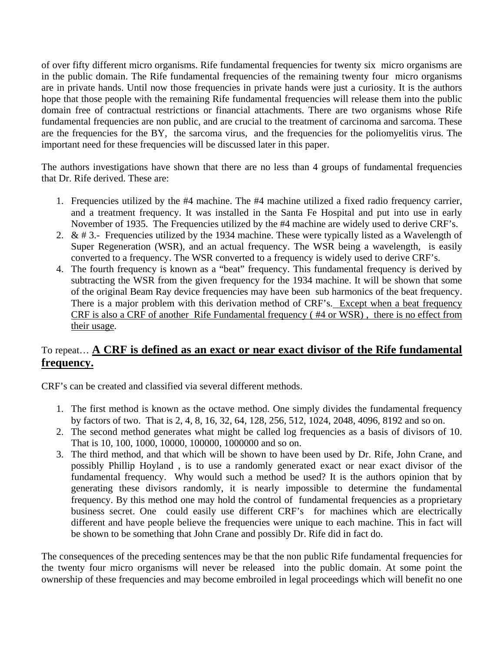of over fifty different micro organisms. Rife fundamental frequencies for twenty six micro organisms are in the public domain. The Rife fundamental frequencies of the remaining twenty four micro organisms are in private hands. Until now those frequencies in private hands were just a curiosity. It is the authors hope that those people with the remaining Rife fundamental frequencies will release them into the public domain free of contractual restrictions or financial attachments. There are two organisms whose Rife fundamental frequencies are non public, and are crucial to the treatment of carcinoma and sarcoma. These are the frequencies for the BY, the sarcoma virus, and the frequencies for the poliomyelitis virus. The important need for these frequencies will be discussed later in this paper.

The authors investigations have shown that there are no less than 4 groups of fundamental frequencies that Dr. Rife derived. These are:

- 1. Frequencies utilized by the #4 machine. The #4 machine utilized a fixed radio frequency carrier, and a treatment frequency. It was installed in the Santa Fe Hospital and put into use in early November of 1935. The Frequencies utilized by the #4 machine are widely used to derive CRF's.
- 2. & # 3.- Frequencies utilized by the 1934 machine. These were typically listed as a Wavelength of Super Regeneration (WSR), and an actual frequency. The WSR being a wavelength, is easily converted to a frequency. The WSR converted to a frequency is widely used to derive CRF's.
- 4. The fourth frequency is known as a "beat" frequency. This fundamental frequency is derived by subtracting the WSR from the given frequency for the 1934 machine. It will be shown that some of the original Beam Ray device frequencies may have been sub harmonics of the beat frequency. There is a major problem with this derivation method of CRF's. Except when a beat frequency CRF is also a CRF of another Rife Fundamental frequency ( #4 or WSR) , there is no effect from their usage.

### To repeat… **A CRF is defined as an exact or near exact divisor of the Rife fundamental frequency.**

CRF's can be created and classified via several different methods.

- 1. The first method is known as the octave method. One simply divides the fundamental frequency by factors of two. That is 2, 4, 8, 16, 32, 64, 128, 256, 512, 1024, 2048, 4096, 8192 and so on.
- 2. The second method generates what might be called log frequencies as a basis of divisors of 10. That is 10, 100, 1000, 10000, 100000, 1000000 and so on.
- 3. The third method, and that which will be shown to have been used by Dr. Rife, John Crane, and possibly Phillip Hoyland , is to use a randomly generated exact or near exact divisor of the fundamental frequency. Why would such a method be used? It is the authors opinion that by generating these divisors randomly, it is nearly impossible to determine the fundamental frequency. By this method one may hold the control of fundamental frequencies as a proprietary business secret. One could easily use different CRF's for machines which are electrically different and have people believe the frequencies were unique to each machine. This in fact will be shown to be something that John Crane and possibly Dr. Rife did in fact do.

The consequences of the preceding sentences may be that the non public Rife fundamental frequencies for the twenty four micro organisms will never be released into the public domain. At some point the ownership of these frequencies and may become embroiled in legal proceedings which will benefit no one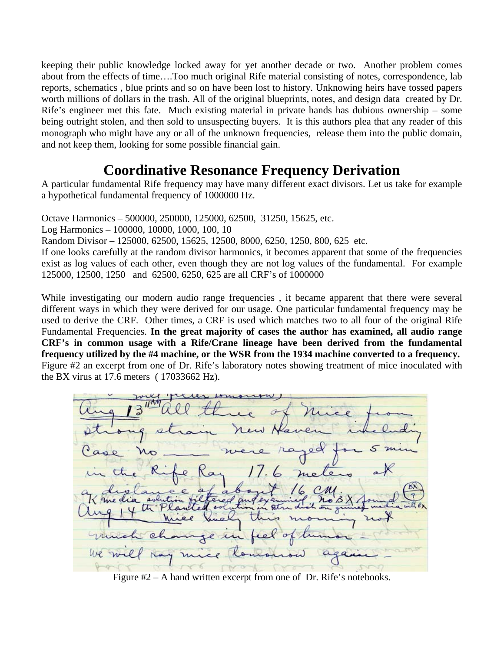keeping their public knowledge locked away for yet another decade or two. Another problem comes about from the effects of time….Too much original Rife material consisting of notes, correspondence, lab reports, schematics , blue prints and so on have been lost to history. Unknowing heirs have tossed papers worth millions of dollars in the trash. All of the original blueprints, notes, and design data created by Dr. Rife's engineer met this fate. Much existing material in private hands has dubious ownership – some being outright stolen, and then sold to unsuspecting buyers. It is this authors plea that any reader of this monograph who might have any or all of the unknown frequencies, release them into the public domain, and not keep them, looking for some possible financial gain.

# **Coordinative Resonance Frequency Derivation**

A particular fundamental Rife frequency may have many different exact divisors. Let us take for example a hypothetical fundamental frequency of 1000000 Hz.

Octave Harmonics – 500000, 250000, 125000, 62500, 31250, 15625, etc.

Log Harmonics – 100000, 10000, 1000, 100, 10

Random Divisor – 125000, 62500, 15625, 12500, 8000, 6250, 1250, 800, 625 etc.

If one looks carefully at the random divisor harmonics, it becomes apparent that some of the frequencies exist as log values of each other, even though they are not log values of the fundamental. For example 125000, 12500, 1250 and 62500, 6250, 625 are all CRF's of 1000000

While investigating our modern audio range frequencies , it became apparent that there were several different ways in which they were derived for our usage. One particular fundamental frequency may be used to derive the CRF. Other times, a CRF is used which matches two to all four of the original Rife Fundamental Frequencies. **In the great majority of cases the author has examined, all audio range CRF's in common usage with a Rife/Crane lineage have been derived from the fundamental frequency utilized by the #4 machine, or the WSR from the 1934 machine converted to a frequency.**  Figure #2 an excerpt from one of Dr. Rife's laboratory notes showing treatment of mice inoculated with the BX virus at 17.6 meters ( 17033662 Hz).



Figure #2 – A hand written excerpt from one of Dr. Rife's notebooks.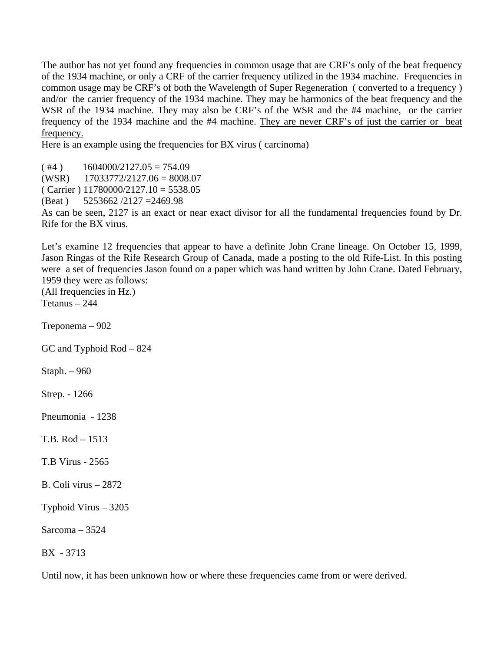The author has not yet found any frequencies in common usage that are CRF's only of the beat frequency of the 1934 machine, or only a CRF of the carrier frequency utilized in the 1934 machine. Frequencies in common usage may be CRF's of both the Wavelength of Super Regeneration ( converted to a frequency ) and/or the carrier frequency of the 1934 machine. They may be harmonics of the beat frequency and the WSR of the 1934 machine. They may also be CRF's of the WSR and the #4 machine, or the carrier frequency of the 1934 machine and the #4 machine. They are never CRF's of just the carrier or beat frequency.

Here is an example using the frequencies for BX virus (carcinoma)

 $( #4)$  1604000/2127.05 = 754.09  $(WSR)$  17033772/2127.06 = 8008.07  $(Carrier) 11780000/2127.10 = 5538.05$ 

(Beat ) 5253662 /2127 =2469.98

As can be seen, 2127 is an exact or near exact divisor for all the fundamental frequencies found by Dr. Rife for the BX virus.

Let's examine 12 frequencies that appear to have a definite John Crane lineage. On October 15, 1999, Jason Ringas of the Rife Research Group of Canada, made a posting to the old Rife-List. In this posting were a set of frequencies Jason found on a paper which was hand written by John Crane. Dated February, 1959 they were as follows:

(All frequencies in Hz.) Tetanus – 244

Treponema – 902

GC and Typhoid Rod – 824

Staph. – 960

Strep. - 1266

Pneumonia - 1238

T.B. Rod – 1513

T.B Virus - 2565

B. Coli virus – 2872

Typhoid Virus – 3205

Sarcoma – 3524

BX - 3713

Until now, it has been unknown how or where these frequencies came from or were derived.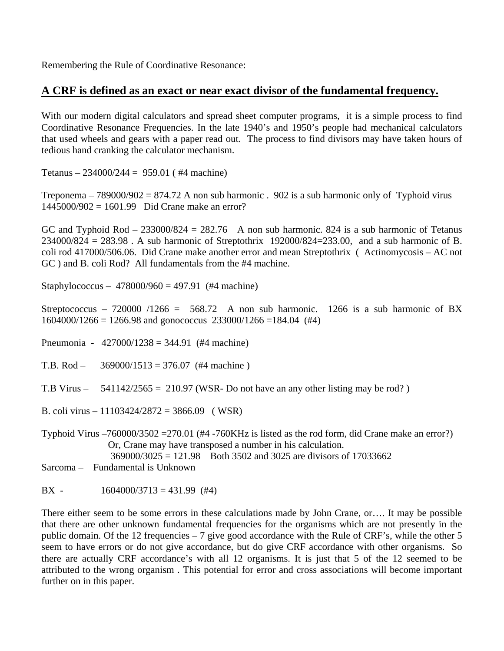Remembering the Rule of Coordinative Resonance:

### **A CRF is defined as an exact or near exact divisor of the fundamental frequency.**

With our modern digital calculators and spread sheet computer programs, it is a simple process to find Coordinative Resonance Frequencies. In the late 1940's and 1950's people had mechanical calculators that used wheels and gears with a paper read out. The process to find divisors may have taken hours of tedious hand cranking the calculator mechanism.

Tetanus –  $234000/244 = 959.01$  (#4 machine)

Treponema – 789000/902 = 874.72 A non sub harmonic . 902 is a sub harmonic only of Typhoid virus 1445000/902 = 1601.99 Did Crane make an error?

GC and Typhoid Rod –  $233000/824 = 282.76$  A non sub harmonic. 824 is a sub harmonic of Tetanus 234000/824 = 283.98 . A sub harmonic of Streptothrix 192000/824=233.00, and a sub harmonic of B. coli rod 417000/506.06. Did Crane make another error and mean Streptothrix ( Actinomycosis – AC not GC ) and B. coli Rod? All fundamentals from the #4 machine.

Staphylococcus –  $478000/960 = 497.91$  (#4 machine)

Streptococcus – 720000 /1266 = 568.72 A non sub harmonic. 1266 is a sub harmonic of BX  $1604000/1266 = 1266.98$  and gonococcus  $233000/1266 = 184.04$  (#4)

Pneumonia - 427000/1238 = 344.91 (#4 machine)

T.B. Rod –  $369000/1513 = 376.07$  (#4 machine)

T.B Virus –  $541142/2565 = 210.97$  (WSR-Do not have an any other listing may be rod?)

B. coli virus – 11103424/2872 = 3866.09 ( WSR)

Typhoid Virus –760000/3502 =270.01 (#4 -760KHz is listed as the rod form, did Crane make an error?) Or, Crane may have transposed a number in his calculation. 369000/3025 = 121.98 Both 3502 and 3025 are divisors of 17033662

Sarcoma – Fundamental is Unknown

BX -  $1604000/3713 = 431.99$  (#4)

There either seem to be some errors in these calculations made by John Crane, or…. It may be possible that there are other unknown fundamental frequencies for the organisms which are not presently in the public domain. Of the 12 frequencies – 7 give good accordance with the Rule of CRF's, while the other 5 seem to have errors or do not give accordance, but do give CRF accordance with other organisms. So there are actually CRF accordance's with all 12 organisms. It is just that 5 of the 12 seemed to be attributed to the wrong organism . This potential for error and cross associations will become important further on in this paper.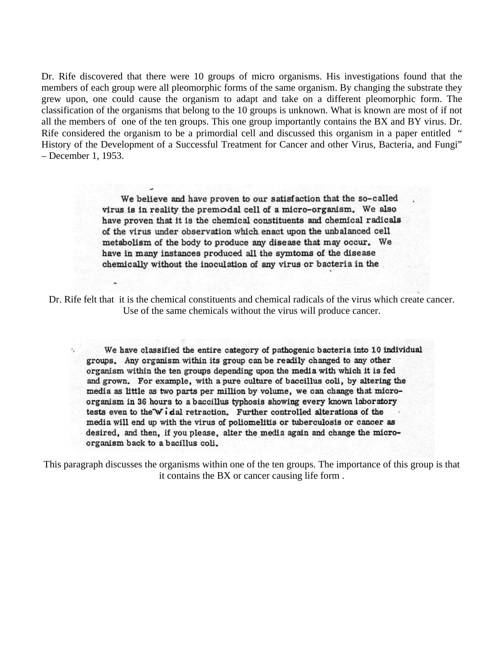Dr. Rife discovered that there were 10 groups of micro organisms. His investigations found that the members of each group were all pleomorphic forms of the same organism. By changing the substrate they grew upon, one could cause the organism to adapt and take on a different pleomorphic form. The classification of the organisms that belong to the 10 groups is unknown. What is known are most of if not all the members of one of the ten groups. This one group importantly contains the BX and BY virus. Dr. Rife considered the organism to be a primordial cell and discussed this organism in a paper entitled " History of the Development of a Successful Treatment for Cancer and other Virus, Bacteria, and Fungi" – December 1, 1953.

> We believe and have proven to our satisfaction that the so-called virus is in reality the premodal cell of a micro-organism. We also have proven that it is the chemical constituents and chemical radicals of the virus under observation which enact upon the unbalanced cell metabolism of the body to produce any disease that may occur. We have in many instances produced all the symtoms of the disease chemically without the inoculation of any virus or bacteria in the

Dr. Rife felt that it is the chemical constituents and chemical radicals of the virus which create cancer. Use of the same chemicals without the virus will produce cancer.

We have classified the entire category of pathogenic bacteria into 10 individual groups. Any organism within its group can be readily changed to any other organism within the ten groups depending upon the media with which it is fed and grown. For example, with a pure culture of baccillus coli, by altering the media as little as two parts per million by volume, we can change that microorganism in 36 hours to a baccillus typhosis showing every known laboratory tests even to the Widal retraction. Further controlled alterations of the media will end up with the virus of poliomelitis or tuberculosis or cancer as desired, and then, if you please, alter the media again and change the microorganism back to a bacillus coli.

This paragraph discusses the organisms within one of the ten groups. The importance of this group is that it contains the BX or cancer causing life form .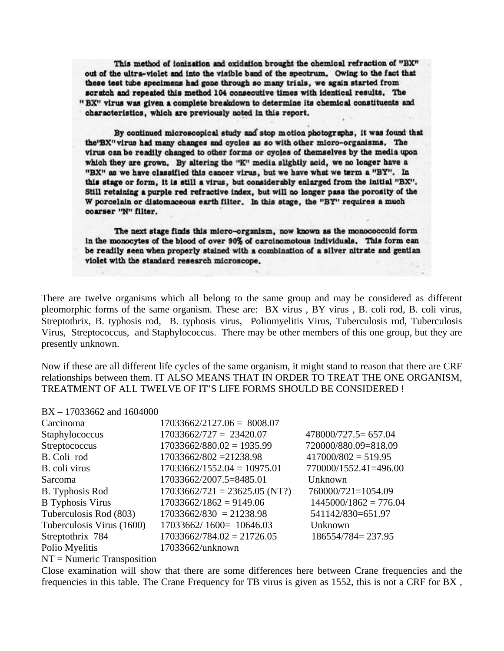This method of ionization and oxidation brought the chemical refraction of "BX" out of the ultra-violet and into the visible band of the spectrum. Owing to the fact that these test tube specimens had gone through so many trials, we again started from scratch and repeated this method 104 consecutive times with identical results. The "BX" virus was given a complete breakdown to determine its chemical constituents and characteristics, which are previously noted in this report.

By continued microscopical study and stop motion photographs, it was found that the'BX" virus had many changes and cycles as so with other micro-organisms. The virus can be readily changed to other forms or cycles of themselves by the media upon which they are grown. By altering the "K" media slightly acid, we no longer have a "BX" as we have classified this cancer virus, but we have what we term a "BY". In this stage or form, it is still a virus, but considerably enlarged from the initial "BX". Still retaining a purple red refractive index, but will no longer pass the porosity of the W porcelain or distomaceous earth filter. In this stage, the "BY" requires a much coarser "N" filter.

The next stage finds this micro-organism, now known as the monococcoid form in the monocytes of the blood of over 90% of carcinomotous individuals. This form can be readily seen when properly stained with a combination of a silver nitrate and gentian violet with the standard research microscope.

There are twelve organisms which all belong to the same group and may be considered as different pleomorphic forms of the same organism. These are: BX virus , BY virus , B. coli rod, B. coli virus, Streptothrix, B. typhosis rod, B. typhosis virus, Poliomyelitis Virus, Tuberculosis rod, Tuberculosis Virus, Streptococcus, and Staphylococcus. There may be other members of this one group, but they are presently unknown.

Now if these are all different life cycles of the same organism, it might stand to reason that there are CRF relationships between them. IT ALSO MEANS THAT IN ORDER TO TREAT THE ONE ORGANISM, TREATMENT OF ALL TWELVE OF IT'S LIFE FORMS SHOULD BE CONSIDERED !

#### BX – 17033662 and 1604000

| Carcinoma                 | $17033662/2127.06 = 8008.07$    |                         |
|---------------------------|---------------------------------|-------------------------|
| Staphylococcus            | $17033662/727 = 23420.07$       | $478000/727.5 = 657.04$ |
| Streptococcus             | $17033662/880.02 = 1935.99$     | 720000/880.09=818.09    |
| B. Coli rod               | $17033662/802 = 21238.98$       | $417000/802 = 519.95$   |
| B. coli virus             | $17033662/1552.04 = 10975.01$   | 770000/1552.41=496.00   |
| Sarcoma                   | 17033662/2007.5=8485.01         | Unknown                 |
| <b>B.</b> Typhosis Rod    | $17033662/721 = 23625.05 (NT?)$ | 760000/721=1054.09      |
| <b>B</b> Typhosis Virus   | $17033662/1862 = 9149.06$       | $1445000/1862 = 776.04$ |
| Tuberculosis Rod (803)    | $17033662/830 = 21238.98$       | 541142/830=651.97       |
| Tuberculosis Virus (1600) | $17033662/1600=10646.03$        | Unknown                 |
| Streptothrix 784          | $17033662/784.02 = 21726.05$    | 186554/784=237.95       |
| Polio Myelitis            | 17033662/unknown                |                         |

 $NT =$  Numeric Transposition

Close examination will show that there are some differences here between Crane frequencies and the frequencies in this table. The Crane Frequency for TB virus is given as 1552, this is not a CRF for BX ,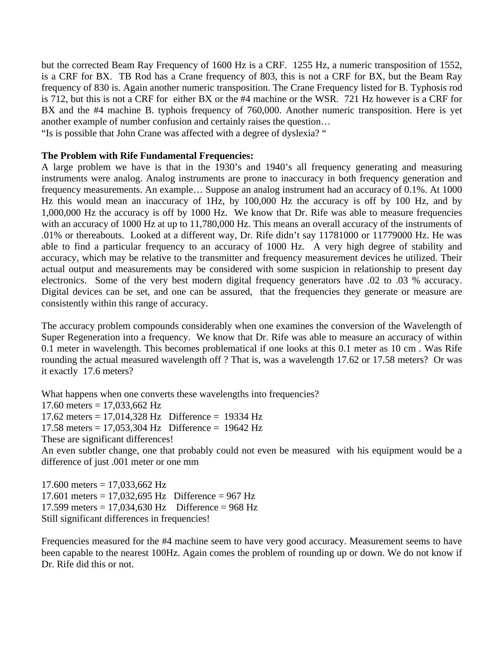but the corrected Beam Ray Frequency of 1600 Hz is a CRF. 1255 Hz, a numeric transposition of 1552, is a CRF for BX. TB Rod has a Crane frequency of 803, this is not a CRF for BX, but the Beam Ray frequency of 830 is. Again another numeric transposition. The Crane Frequency listed for B. Typhosis rod is 712, but this is not a CRF for either BX or the #4 machine or the WSR. 721 Hz however is a CRF for BX and the #4 machine B. typhois frequency of 760,000. Another numeric transposition. Here is yet another example of number confusion and certainly raises the question…

"Is is possible that John Crane was affected with a degree of dyslexia? "

#### **The Problem with Rife Fundamental Frequencies:**

A large problem we have is that in the 1930's and 1940's all frequency generating and measuring instruments were analog. Analog instruments are prone to inaccuracy in both frequency generation and frequency measurements. An example… Suppose an analog instrument had an accuracy of 0.1%. At 1000 Hz this would mean an inaccuracy of 1Hz, by 100,000 Hz the accuracy is off by 100 Hz, and by 1,000,000 Hz the accuracy is off by 1000 Hz. We know that Dr. Rife was able to measure frequencies with an accuracy of 1000 Hz at up to 11,780,000 Hz. This means an overall accuracy of the instruments of .01% or thereabouts. Looked at a different way, Dr. Rife didn't say 11781000 or 11779000 Hz. He was able to find a particular frequency to an accuracy of 1000 Hz. A very high degree of stability and accuracy, which may be relative to the transmitter and frequency measurement devices he utilized. Their actual output and measurements may be considered with some suspicion in relationship to present day electronics. Some of the very best modern digital frequency generators have .02 to .03 % accuracy. Digital devices can be set, and one can be assured, that the frequencies they generate or measure are consistently within this range of accuracy.

The accuracy problem compounds considerably when one examines the conversion of the Wavelength of Super Regeneration into a frequency. We know that Dr. Rife was able to measure an accuracy of within 0.1 meter in wavelength. This becomes problematical if one looks at this 0.1 meter as 10 cm . Was Rife rounding the actual measured wavelength off ? That is, was a wavelength 17.62 or 17.58 meters? Or was it exactly 17.6 meters?

What happens when one converts these wavelengths into frequencies? 17.60 meters =  $17,033,662$  Hz 17.62 meters = 17,014,328 Hz Difference = 19334 Hz 17.58 meters = 17,053,304 Hz Difference = 19642 Hz These are significant differences! An even subtler change, one that probably could not even be measured with his equipment would be a difference of just .001 meter or one mm

 $17.600$  meters =  $17,033,662$  Hz 17.601 meters = 17,032,695 Hz Difference = 967 Hz 17.599 meters = 17.034.630 Hz Difference =  $968$  Hz Still significant differences in frequencies!

Frequencies measured for the #4 machine seem to have very good accuracy. Measurement seems to have been capable to the nearest 100Hz. Again comes the problem of rounding up or down. We do not know if Dr. Rife did this or not.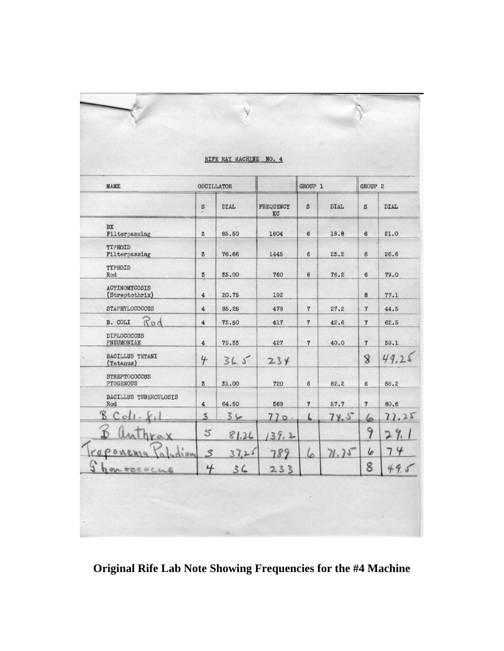| <b>NAME</b>                            | <b>OSCILLATOR</b> |             |                 | GROUP <sub>1</sub> |             | GROUP <sub>2</sub> |             |
|----------------------------------------|-------------------|-------------|-----------------|--------------------|-------------|--------------------|-------------|
|                                        | S                 | <b>DIAL</b> | FREQUENCY<br>KC | s                  | <b>DIAL</b> | s                  | <b>DIAL</b> |
| BX<br>Filterpassing                    | 3                 | 85.50       | 1604            | 6                  | 18.8        | 6                  | 21.0        |
| TYPHOID<br>Filterpassing               | $\mathbf{g}$      | 76.66       | 1445            | 6                  | 23.2        | 6                  | 26.6        |
| TYPHOID<br>Rod                         | $\mathbf{z}$      | 35.00       | 760             | 6                  | 76.2        | 6                  | 79.0        |
| <b>ACTINOMYCOSIS</b><br>(Streptothrix) | $\overline{4}$    | 20.75       | 192             |                    |             | 8                  | 77.1        |
| STAPHYLOCOCCUS                         | $\overline{4}$    | 85.25       | 478             | $\overline{7}$     | 27.2        | $\overline{7}$     | 44.5        |
| B. COLI<br>Rod                         | $\overline{4}$    | 75.50       | 417             | $\overline{7}$     | 42.6        | $\overline{7}$     | 62.5        |
| DIPLOCOCCUS<br>PNEUMONIAE              | 4                 | 75.33       | 427             | $\overline{7}$     | 40.0        | $\overline{7}$     | 59.1        |
| <b>BACILLUS TETANI</b><br>(Tetanus)    | 4                 | 36.5        | 234             |                    |             | $\mathbf{8}$       | 49.2        |
| <b>STREPTOCOCCUS</b><br>PYOGENOUS      | 3                 | 31.00       | 720             | 6                  | 82.2        | 6                  | 86.2        |
| BACILLUS TUBERCULOSIS<br>Rod           | $\overline{4}$    | 64.50       | 369             | $\overline{7}$     | 57.7        | $\mathbf{7}$       | 80.6        |
| $\mathcal{B}$<br>$\circ$               | 3                 | 36          | 77D             | $\sqrt{2}$         | 74.5        | 6                  | 77,25       |
| a X                                    | 5                 | 81.26       | 139.2           |                    |             | 9                  | 9,          |
| POV<br>dium                            | $\mathcal{Z}$     | 37.25       | 789             | 6                  | 71.75       | 6                  | 4<br>7      |
| honorcacus                             | 4                 | 36          | 233             |                    |             | 8                  | 49.5        |

**Original Rife Lab Note Showing Frequencies for the #4 Machine**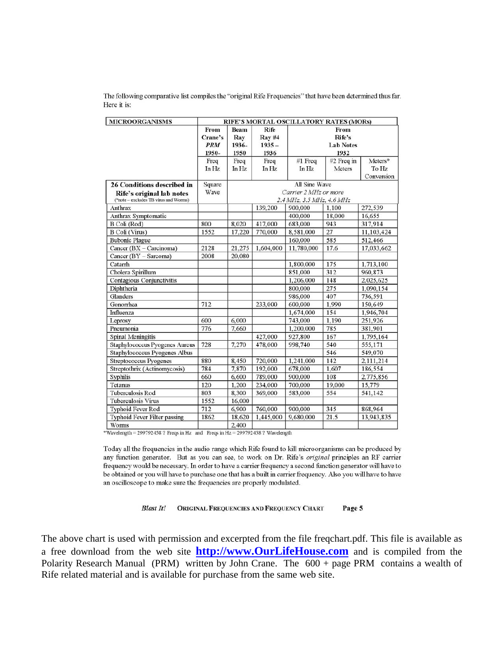The following comparative list compiles the "original Rife Frequencies" that have been determined thus far. Here it is:

| <b>MICROORGANISMS</b>                 | RIFE'S MORTAL OSCILLATORY RATES (MORs) |             |               |                           |                  |                     |  |
|---------------------------------------|----------------------------------------|-------------|---------------|---------------------------|------------------|---------------------|--|
|                                       | From                                   | <b>Beam</b> | Rife          | From                      |                  |                     |  |
|                                       | Crane's                                | Ray         | <b>Ray #4</b> | Rife's                    |                  |                     |  |
|                                       | <b>PRM</b>                             | 1936-       | $1935 -$      |                           | <b>Lab Notes</b> |                     |  |
|                                       | 1950-                                  | 1950        | 1936          |                           | 1932             |                     |  |
|                                       | Freq                                   | Freq        | Freq          | #1 $Freq$                 | #2 Freq in       | Meters*             |  |
|                                       | In Hz                                  | In Hz       | In Hz         | In Hz                     | Meters           | To Hz<br>Conversion |  |
| 26 Conditions described in            | Square                                 |             |               | All Sine Wave             |                  |                     |  |
| Rife's original lab notes             | Wave                                   |             |               | Carrier 2 MHz or more     |                  |                     |  |
| ("note - excludes TB virus and Worms) |                                        |             |               | 2.4 MHz, 3.5 MHz, 4.6 MHz |                  |                     |  |
| Anthrax                               |                                        |             | 139,200       | 900,000                   | 1,100            | 272,539             |  |
| Anthrax Symptomatic                   |                                        |             |               | 400,000                   | 18,000           | 16,655              |  |
| B Coli (Rod)                          | 800                                    | 8.020       | 417,000       | 683,000                   | 943              | 317.914             |  |
| B Coli (Virus)                        | 1552                                   | 17,220      | 770,000       | 8,581,000                 | 27               | 11,103,424          |  |
| <b>Bubonic Plague</b>                 |                                        |             |               | 160,000                   | 585              | 512,466             |  |
| Cancer (BX - Carcinoma)               | 2128                                   | 21,275      | 1,604,000     | 11,780,000                | 17.6             | 17,033,662          |  |
| Cancer (BY - Sarcoma)                 | 2008                                   | 20,080      |               |                           |                  |                     |  |
| Catarrh                               |                                        |             |               | 1,800,000                 | 175              | 1,713,100           |  |
| Cholera Spirillum                     |                                        |             |               | 851,000                   | 312              | 960,873             |  |
| Contagious Conjunctivitis             |                                        |             |               | 1,206,000                 | 148              | 2,025,625           |  |
| Diphtheria                            |                                        |             |               | 800,000                   | 275              | 1,090,154           |  |
| Glanders                              |                                        |             |               | 986,000                   | 407              | 736,591             |  |
| Gonorrhea                             | 712                                    |             | 233,000       | 600,000                   | 1.990            | 150,649             |  |
| Influenza                             |                                        |             |               | 1,674,000                 | 154              | 1,946,704           |  |
| Leprosy                               | 600                                    | 6,000       |               | 743,000                   | 1.190            | 251,926             |  |
| Pneumonia                             | 776                                    | 7.660       |               | 1.200.000                 | 785              | 381.901             |  |
| <b>Spinal Meningitis</b>              |                                        |             | 427,000       | 927,800                   | 167              | 1,795,164           |  |
| Staphylococcus Pyogenes Aureus        | 728                                    | 7.270       | 478,000       | 998,740                   | 540              | 555,171             |  |
| Staphylococcus Pyogenes Albus         |                                        |             |               |                           | 546              | 549,070             |  |
| Streptococcus Pyogenes                | 880                                    | 8,450       | 720,000       | 1,241,000                 | 142              | 2,111,214           |  |
| Streptothrix (Actinomycosis)          | 784                                    | 7,870       | 192,000       | 678,000                   | 1.607            | 186,554             |  |
| Syphilis                              | 660                                    | 6,600       | 789,000       | 900,000                   | 108              | 2,775,856           |  |
| Tetanus                               | 120                                    | 1.200       | 234,000       | 700,000                   | 19,000           | 15,779              |  |
| <b>Tuberculosis Rod</b>               | 803                                    | 8,300       | 369,000       | 583,000                   | 554              | 541,142             |  |
| Tuberculosis Virus                    | 1552                                   | 16,000      |               |                           |                  |                     |  |
| <b>Typhoid Fever Rod</b>              | 712                                    | 6.900       | 760,000       | 900,000                   | 345              | 868,964             |  |
| Typhoid Fever Filter passing          | 1862                                   | 18.620      | 1,445,000     | 9,680,000                 | 21.5             | 13,943,835          |  |
| Worms                                 |                                        | 2,400       |               |                           |                  |                     |  |

\*Wavelength = 299792458 ? Freqs in Hz and Freqs in Hz = 299792458 ? Wavelength

Today all the frequencies in the audio range which Rife found to kill microorganisms can be produced by any function generator. But as you can see, to work on Dr. Rife's original principles an RF carrier frequency would be necessary. In order to have a carrier frequency a second function generator will have to be obtained or you will have to purchase one that has a built in carrier frequency. Also you will have to have an oscilloscope to make sure the frequencies are properly modulated.

> **Blast It!** ORIGINAL FREQUENCIES AND FREQUENCY CHART Page 5

The above chart is used with permission and excerpted from the file freqchart.pdf. This file is available as a free download from the web site **[http://www.OurLifeHouse.com](http://www.ourlifehouse.com/)** and is compiled from the Polarity Research Manual (PRM) written by John Crane. The 600 + page PRM contains a wealth of Rife related material and is available for purchase from the same web site.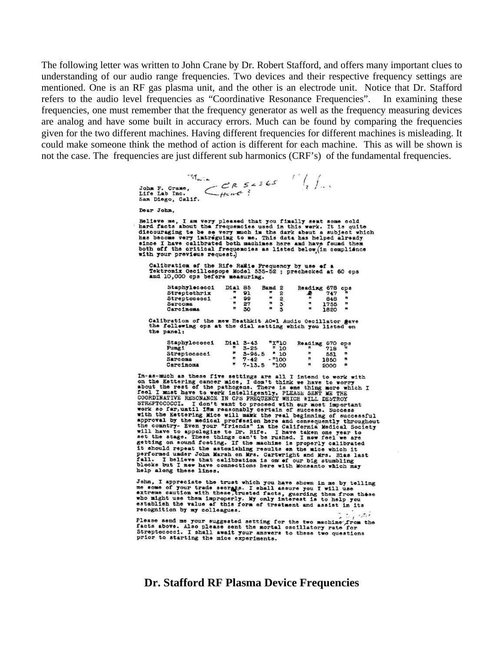The following letter was written to John Crane by Dr. Robert Stafford, and offers many important clues to understanding of our audio range frequencies. Two devices and their respective frequency settings are mentioned. One is an RF gas plasma unit, and the other is an electrode unit. Notice that Dr. Stafford refers to the audio level frequencies as "Coordinative Resonance Frequencies". In examining these frequencies, one must remember that the frequency generator as well as the frequency measuring devices are analog and have some built in accuracy errors. Much can be found by comparing the frequencies given for the two different machines. Having different frequencies for different machines is misleading. It could make someone think the method of action is different for each machine. This as will be shown is not the case. The frequencies are just different sub harmonics (CRF's) of the fundamental frequencies.

> John F. Grane,  $\left\langle \begin{array}{c} |A_{\omega, \mu} \\ |P| \end{array} \right\rangle_{\alpha} \subset \mathbb{R}$   $\left\langle \begin{array}{c} |P| & |P| \\ |P| \end{array} \right\rangle_{\alpha}$ <br>Life Lab Inc.  $\left\langle \begin{array}{c} |P| & |P| \\ |P| \end{array} \right\rangle_{\alpha}$  San Diego, Galif. Dear John. Believe me, I am very pleased that you finally sent some cold<br>hard facts about the frequencies used in this work. It is quite<br>discouraging to be se very much in the dark about a subject which<br>has become very intreguing to since I have calibrated both machines here and have found then<br>both off the critical frequencies as listed below<sub>,</sub> in compliance<br>with your previews request.) Calibration of the Rife Rakie Frequency by use of a<br>Tektronix Oscillospope Model 535-52 ; prechecked at 60 cps<br>and 10,000 cps before measuring. Staphylecocci Dial 85 Band 2<br>
> Streptochrix = 91 = 2<br>
> Streptococci = 99 = 2<br>
> Streptococci = 27 = 2<br>
> Sarcoma = 7 27 = 3<br>
> 72 = 7<br>
> Carcinoma = 7 70 = 7 Reading 678 cps  $\ddot{\ddot{\bullet}}$  $\mathbf{r}$ 848  $\blacksquare$  $\mathbf{u}$ 1820 Calibration of the new Heathkit AO\*1 Audio Oscillator gave the following ops at the dial setting which you listed on the panel: Staphylococci Dial 3-43 "X"10<br>
> Fungi 5-25 "10<br>
> Streptococci "5-96.5 "10<br>
> Sarcoma "7-42 - "100<br>
> Carcinoma "7-13.5 "100 Reading 670 ops<br>  $\begin{array}{ccc}\n\text{Residing} & 670 & \text{ops} \\
> \text{F} & 718 & \text{m} \\
> \text{F} & 1850 & \text{m}\n\end{array}$ 1850 2000 It should repeat the astonishing results on the mice which it<br>performed under John Marsh on Mrs. Cartwright and Mrs. Bias last<br>fall. I believe that calibbation is on of our big stumbling<br>blocks but I new have connections h

John, I appreciate the trust which you have shown in me by telling some, I approximate the secrets. I shall assure you I will use<br>me some of your trade secrets. I shall assure you I will use<br>who might use them improperly. My only interest is to help you<br>who might use them improperly. My o

help along these lines.

فتشام Please send me your suggested setting for the two machine from the<br>facts above. Also please sent the mortal oscillatory rate for<br>Streptococci. I shall await your answers to these two questions<br>nuclear and the standard cont prior to starting the mice experiments.

#### **Dr. Stafford RF Plasma Device Frequencies**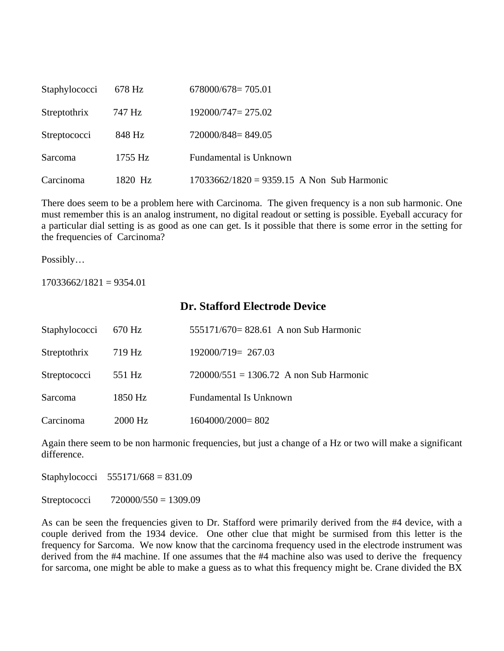| Staphylococci | 678 Hz    | $678000/678 = 705.01$                        |
|---------------|-----------|----------------------------------------------|
| Streptothrix  | 747 Hz    | $192000/747 = 275.02$                        |
| Streptococci  | 848 Hz    | 720000/848=849.05                            |
| Sarcoma       | $1755$ Hz | Fundamental is Unknown                       |
| Carcinoma     | 1820 Hz   | $17033662/1820 = 9359.15$ A Non Sub Harmonic |

There does seem to be a problem here with Carcinoma. The given frequency is a non sub harmonic. One must remember this is an analog instrument, no digital readout or setting is possible. Eyeball accuracy for a particular dial setting is as good as one can get. Is it possible that there is some error in the setting for the frequencies of Carcinoma?

Possibly…

 $17033662/1821 = 9354.01$ 

### **Dr. Stafford Electrode Device**

| Staphylococci | 670 Hz  | 555171/670= 828.61 A non Sub Harmonic     |
|---------------|---------|-------------------------------------------|
| Streptothrix  | 719 Hz  | $192000/719 = 267.03$                     |
| Streptococci  | 551 Hz  | $720000/551 = 1306.72$ A non Sub Harmonic |
| Sarcoma       | 1850 Hz | <b>Fundamental Is Unknown</b>             |
| Carcinoma     | 2000 Hz | $1604000/2000=802$                        |

Again there seem to be non harmonic frequencies, but just a change of a Hz or two will make a significant difference.

Staphylococci 555171/668 = 831.09

Streptococci 720000/550 = 1309.09

As can be seen the frequencies given to Dr. Stafford were primarily derived from the #4 device, with a couple derived from the 1934 device. One other clue that might be surmised from this letter is the frequency for Sarcoma. We now know that the carcinoma frequency used in the electrode instrument was derived from the #4 machine. If one assumes that the #4 machine also was used to derive the frequency for sarcoma, one might be able to make a guess as to what this frequency might be. Crane divided the BX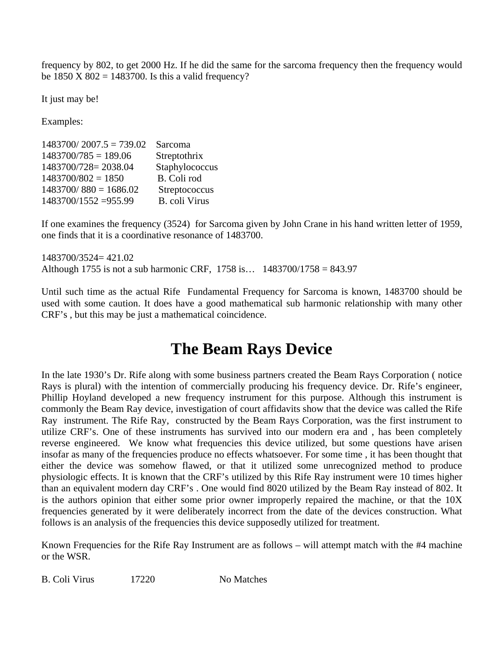frequency by 802, to get 2000 Hz. If he did the same for the sarcoma frequency then the frequency would be  $1850 \text{ X } 802 = 1483700$ . Is this a valid frequency?

It just may be!

Examples:

| $1483700/2007.5 = 739.02$ | Sarcoma              |
|---------------------------|----------------------|
| $1483700/785 = 189.06$    | Streptothrix         |
| 1483700/728=2038.04       | Staphylococcus       |
| $1483700/802 = 1850$      | B. Coli rod          |
| $1483700/880 = 1686.02$   | Streptococcus        |
| 1483700/1552 = 955.99     | <b>B.</b> coli Virus |

If one examines the frequency (3524) for Sarcoma given by John Crane in his hand written letter of 1959, one finds that it is a coordinative resonance of 1483700.

1483700/3524= 421.02 Although 1755 is not a sub harmonic CRF, 1758 is… 1483700/1758 = 843.97

Until such time as the actual Rife Fundamental Frequency for Sarcoma is known, 1483700 should be used with some caution. It does have a good mathematical sub harmonic relationship with many other CRF's , but this may be just a mathematical coincidence.

# **The Beam Rays Device**

In the late 1930's Dr. Rife along with some business partners created the Beam Rays Corporation ( notice Rays is plural) with the intention of commercially producing his frequency device. Dr. Rife's engineer, Phillip Hoyland developed a new frequency instrument for this purpose. Although this instrument is commonly the Beam Ray device, investigation of court affidavits show that the device was called the Rife Ray instrument. The Rife Ray, constructed by the Beam Rays Corporation, was the first instrument to utilize CRF's. One of these instruments has survived into our modern era and , has been completely reverse engineered. We know what frequencies this device utilized, but some questions have arisen insofar as many of the frequencies produce no effects whatsoever. For some time , it has been thought that either the device was somehow flawed, or that it utilized some unrecognized method to produce physiologic effects. It is known that the CRF's utilized by this Rife Ray instrument were 10 times higher than an equivalent modern day CRF's . One would find 8020 utilized by the Beam Ray instead of 802. It is the authors opinion that either some prior owner improperly repaired the machine, or that the 10X frequencies generated by it were deliberately incorrect from the date of the devices construction. What follows is an analysis of the frequencies this device supposedly utilized for treatment.

Known Frequencies for the Rife Ray Instrument are as follows – will attempt match with the #4 machine or the WSR.

B. Coli Virus 17220 No Matches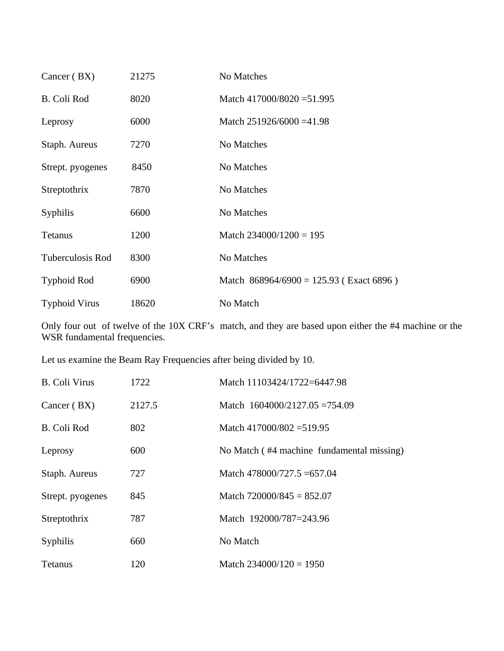| Cancer (BX)          | 21275 | No Matches                                |
|----------------------|-------|-------------------------------------------|
| <b>B.</b> Coli Rod   | 8020  | Match 417000/8020 = 51.995                |
| Leprosy              | 6000  | Match $251926/6000 = 41.98$               |
| Staph. Aureus        | 7270  | No Matches                                |
| Strept. pyogenes     | 8450  | No Matches                                |
| Streptothrix         | 7870  | No Matches                                |
| Syphilis             | 6600  | No Matches                                |
| Tetanus              | 1200  | Match $234000/1200 = 195$                 |
| Tuberculosis Rod     | 8300  | No Matches                                |
| <b>Typhoid Rod</b>   | 6900  | Match $868964/6900 = 125.93$ (Exact 6896) |
| <b>Typhoid Virus</b> | 18620 | No Match                                  |

Only four out of twelve of the 10X CRF's match, and they are based upon either the #4 machine or the WSR fundamental frequencies.

Let us examine the Beam Ray Frequencies after being divided by 10.

| B. Coli Virus    | 1722   | Match 11103424/1722=6447.98               |
|------------------|--------|-------------------------------------------|
| Cancer (BX)      | 2127.5 | Match 1604000/2127.05 = 754.09            |
| B. Coli Rod      | 802    | Match 417000/802 = 519.95                 |
| Leprosy          | 600    | No Match (#4 machine fundamental missing) |
| Staph. Aureus    | 727    | Match $478000/727.5 = 657.04$             |
| Strept. pyogenes | 845    | Match $720000/845 = 852.07$               |
| Streptothrix     | 787    | Match 192000/787=243.96                   |
| Syphilis         | 660    | No Match                                  |
| <b>Tetanus</b>   | 120    | Match $234000/120 = 1950$                 |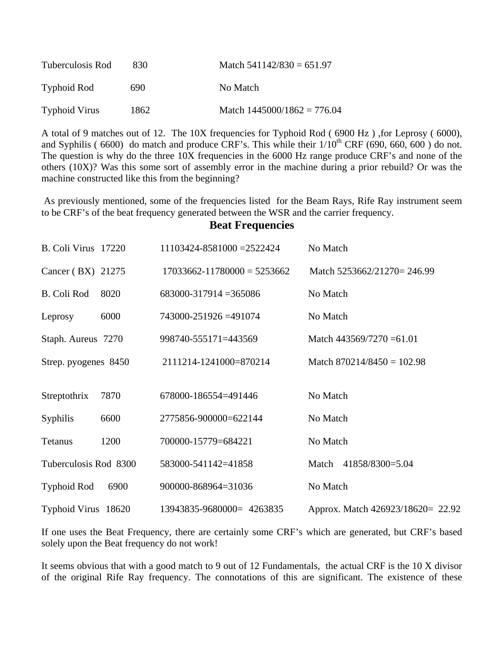| Tuberculosis Rod     | 830. | Match $541142/830 = 651.97$   |  |
|----------------------|------|-------------------------------|--|
| Typhoid Rod          | 690  | No Match                      |  |
| <b>Typhoid Virus</b> | 1862 | Match $1445000/1862 = 776.04$ |  |

A total of 9 matches out of 12. The 10X frequencies for Typhoid Rod ( 6900 Hz ) ,for Leprosy ( 6000), and Syphilis (  $6600$ ) do match and produce CRF's. This while their  $1/10^{th}$  CRF ( $690, 660, 600$ ) do not. The question is why do the three 10X frequencies in the 6000 Hz range produce CRF's and none of the others (10X)? Was this some sort of assembly error in the machine during a prior rebuild? Or was the machine constructed like this from the beginning?

 As previously mentioned, some of the frequencies listed for the Beam Rays, Rife Ray instrument seem to be CRF's of the beat frequency generated between the WSR and the carrier frequency.

#### **Beat Frequencies**

| B. Coli Virus 17220   |      | 11103424-8581000 = 2522424      | No Match                          |
|-----------------------|------|---------------------------------|-----------------------------------|
| Cancer (BX) 21275     |      | $17033662 - 11780000 = 5253662$ | Match 5253662/21270= 246.99       |
| <b>B.</b> Coli Rod    | 8020 | $683000 - 317914 = 365086$      | No Match                          |
| Leprosy               | 6000 | 743000-251926 = 491074          | No Match                          |
| Staph. Aureus 7270    |      | 998740-555171=443569            | Match $443569/7270 = 61.01$       |
| Strep. pyogenes 8450  |      | 2111214-1241000=870214          | Match $870214/8450 = 102.98$      |
|                       |      |                                 |                                   |
| Streptothrix          | 7870 | 678000-186554=491446            | No Match                          |
| Syphilis              | 6600 | 2775856-900000=622144           | No Match                          |
| Tetanus               | 1200 | 700000-15779=684221             | No Match                          |
| Tuberculosis Rod 8300 |      | 583000-541142=41858             | 41858/8300=5.04<br>Match          |
| <b>Typhoid Rod</b>    | 6900 | 900000-868964=31036             | No Match                          |
| Typhoid Virus 18620   |      | 13943835-9680000= 4263835       | Approx. Match 426923/18620= 22.92 |

If one uses the Beat Frequency, there are certainly some CRF's which are generated, but CRF's based solely upon the Beat frequency do not work!

It seems obvious that with a good match to 9 out of 12 Fundamentals, the actual CRF is the 10 X divisor of the original Rife Ray frequency. The connotations of this are significant. The existence of these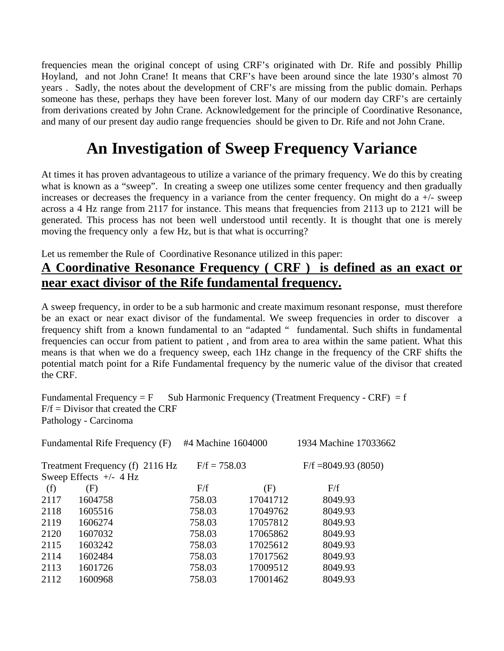frequencies mean the original concept of using CRF's originated with Dr. Rife and possibly Phillip Hoyland, and not John Crane! It means that CRF's have been around since the late 1930's almost 70 years . Sadly, the notes about the development of CRF's are missing from the public domain. Perhaps someone has these, perhaps they have been forever lost. Many of our modern day CRF's are certainly from derivations created by John Crane. Acknowledgement for the principle of Coordinative Resonance, and many of our present day audio range frequencies should be given to Dr. Rife and not John Crane.

# **An Investigation of Sweep Frequency Variance**

At times it has proven advantageous to utilize a variance of the primary frequency. We do this by creating what is known as a "sweep". In creating a sweep one utilizes some center frequency and then gradually increases or decreases the frequency in a variance from the center frequency. On might do a +/- sweep across a 4 Hz range from 2117 for instance. This means that frequencies from 2113 up to 2121 will be generated. This process has not been well understood until recently. It is thought that one is merely moving the frequency only a few Hz, but is that what is occurring?

Let us remember the Rule of Coordinative Resonance utilized in this paper:

## **A Coordinative Resonance Frequency ( CRF ) is defined as an exact or near exact divisor of the Rife fundamental frequency.**

A sweep frequency, in order to be a sub harmonic and create maximum resonant response, must therefore be an exact or near exact divisor of the fundamental. We sweep frequencies in order to discover a frequency shift from a known fundamental to an "adapted " fundamental. Such shifts in fundamental frequencies can occur from patient to patient , and from area to area within the same patient. What this means is that when we do a frequency sweep, each 1Hz change in the frequency of the CRF shifts the potential match point for a Rife Fundamental frequency by the numeric value of the divisor that created the CRF.

Fundamental Frequency =  $F$  Sub Harmonic Frequency (Treatment Frequency - CRF) = f  $F/f = Divisor$  that created the CRF Pathology - Carcinoma

| Fundamental Rife Frequency (F) |                                                             | #4 Machine 1604000 |          | 1934 Machine 17033662 |
|--------------------------------|-------------------------------------------------------------|--------------------|----------|-----------------------|
|                                | Treatment Frequency (f) 2116 Hz<br>Sweep Effects $+/- 4$ Hz | $F/f = 758.03$     |          | $F/f = 8049.93(8050)$ |
| (f)                            | (F)                                                         | F/f                | (F)      | F/f                   |
| 2117                           | 1604758                                                     | 758.03             | 17041712 | 8049.93               |
| 2118                           | 1605516                                                     | 758.03             | 17049762 | 8049.93               |
| 2119                           | 1606274                                                     | 758.03             | 17057812 | 8049.93               |
| 2120                           | 1607032                                                     | 758.03             | 17065862 | 8049.93               |
| 2115                           | 1603242                                                     | 758.03             | 17025612 | 8049.93               |
| 2114                           | 1602484                                                     | 758.03             | 17017562 | 8049.93               |
| 2113                           | 1601726                                                     | 758.03             | 17009512 | 8049.93               |
| 2112                           | 1600968                                                     | 758.03             | 17001462 | 8049.93               |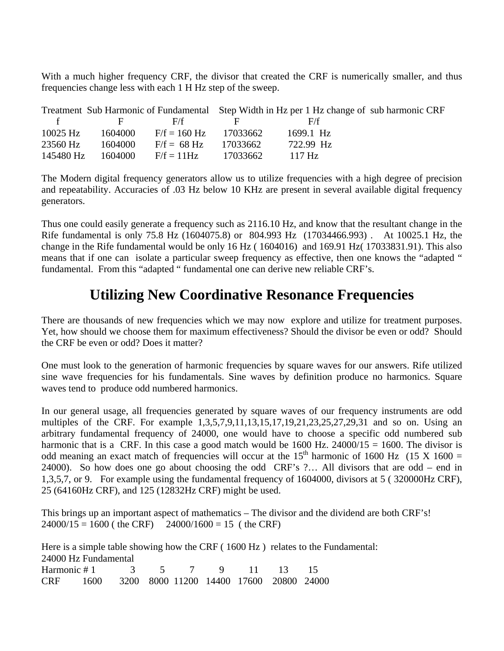With a much higher frequency CRF, the divisor that created the CRF is numerically smaller, and thus frequencies change less with each 1 H Hz step of the sweep.

|                                                |                                      |                                 |              | Treatment Sub Harmonic of Fundamental Step Width in Hz per 1 Hz change of sub harmonic CRF |  |
|------------------------------------------------|--------------------------------------|---------------------------------|--------------|--------------------------------------------------------------------------------------------|--|
| $\mathbf{f}$ and $\mathbf{f}$ and $\mathbf{f}$ | and the property of the state of the | F/f                             | 1999 H. G. S | - F/f                                                                                      |  |
| 10025 Hz                                       | 1604000                              | $F/f = 160 \text{ Hz}$ 17033662 |              | 1699.1 Hz                                                                                  |  |
| 23560 Hz                                       | 1604000                              | $F/f = 68 Hz$                   | - 17033662   | 722.99 Hz                                                                                  |  |
| 145480 Hz                                      | 1604000                              | $F/f = 11Hz$                    | 17033662     | $-117$ Hz                                                                                  |  |

The Modern digital frequency generators allow us to utilize frequencies with a high degree of precision and repeatability. Accuracies of .03 Hz below 10 KHz are present in several available digital frequency generators.

Thus one could easily generate a frequency such as 2116.10 Hz, and know that the resultant change in the Rife fundamental is only 75.8 Hz (1604075.8) or 804.993 Hz (17034466.993) . At 10025.1 Hz, the change in the Rife fundamental would be only 16 Hz ( 1604016) and 169.91 Hz( 17033831.91). This also means that if one can isolate a particular sweep frequency as effective, then one knows the "adapted " fundamental. From this "adapted " fundamental one can derive new reliable CRF's.

## **Utilizing New Coordinative Resonance Frequencies**

There are thousands of new frequencies which we may now explore and utilize for treatment purposes. Yet, how should we choose them for maximum effectiveness? Should the divisor be even or odd? Should the CRF be even or odd? Does it matter?

One must look to the generation of harmonic frequencies by square waves for our answers. Rife utilized sine wave frequencies for his fundamentals. Sine waves by definition produce no harmonics. Square waves tend to produce odd numbered harmonics.

In our general usage, all frequencies generated by square waves of our frequency instruments are odd multiples of the CRF. For example 1,3,5,7,9,11,13,15,17,19,21,23,25,27,29,31 and so on. Using an arbitrary fundamental frequency of 24000, one would have to choose a specific odd numbered sub harmonic that is a CRF. In this case a good match would be  $1600$  Hz. 24000/15 = 1600. The divisor is odd meaning an exact match of frequencies will occur at the  $15<sup>th</sup>$  harmonic of 1600 Hz (15 X 1600 = 24000). So how does one go about choosing the odd CRF's ?… All divisors that are odd – end in 1,3,5,7, or 9. For example using the fundamental frequency of 1604000, divisors at 5 ( 320000Hz CRF), 25 (64160Hz CRF), and 125 (12832Hz CRF) might be used.

This brings up an important aspect of mathematics – The divisor and the dividend are both CRF's!  $24000/15 = 1600$  (the CRF)  $24000/1600 = 15$  (the CRF)

Here is a simple table showing how the CRF (1600 Hz) relates to the Fundamental: 24000 Hz Fundamental Harmonic # 1 3 5 7 9 11 13 15 CRF 1600 3200 8000 11200 14400 17600 20800 24000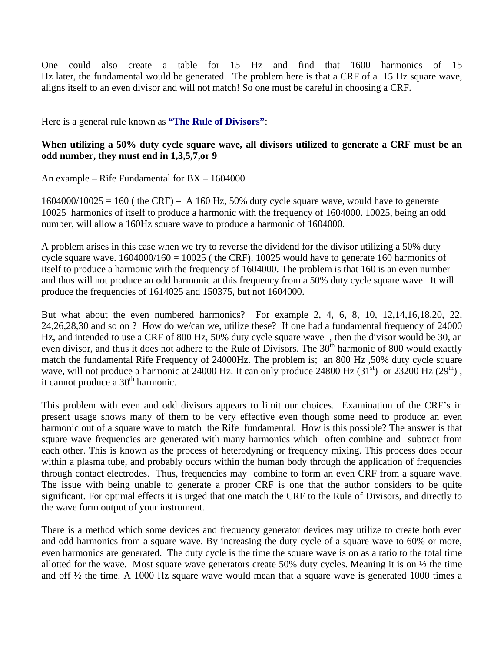One could also create a table for 15 Hz and find that 1600 harmonics of 15 Hz later, the fundamental would be generated. The problem here is that a CRF of a 15 Hz square wave, aligns itself to an even divisor and will not match! So one must be careful in choosing a CRF.

Here is a general rule known as **"The Rule of Divisors"**:

#### **When utilizing a 50% duty cycle square wave, all divisors utilized to generate a CRF must be an odd number, they must end in 1,3,5,7,or 9**

An example – Rife Fundamental for BX – 1604000

 $1604000/10025 = 160$  (the CRF) – A 160 Hz, 50% duty cycle square wave, would have to generate 10025 harmonics of itself to produce a harmonic with the frequency of 1604000. 10025, being an odd number, will allow a 160Hz square wave to produce a harmonic of 1604000.

A problem arises in this case when we try to reverse the dividend for the divisor utilizing a 50% duty cycle square wave.  $1604000/160 = 10025$  (the CRF). 10025 would have to generate 160 harmonics of itself to produce a harmonic with the frequency of 1604000. The problem is that 160 is an even number and thus will not produce an odd harmonic at this frequency from a 50% duty cycle square wave. It will produce the frequencies of 1614025 and 150375, but not 1604000.

But what about the even numbered harmonics? For example 2, 4, 6, 8, 10, 12,14,16,18,20, 22, 24,26,28,30 and so on ? How do we/can we, utilize these? If one had a fundamental frequency of 24000 Hz, and intended to use a CRF of 800 Hz, 50% duty cycle square wave , then the divisor would be 30, an even divisor, and thus it does not adhere to the Rule of Divisors. The 30<sup>th</sup> harmonic of 800 would exactly match the fundamental Rife Frequency of 24000Hz. The problem is; an 800 Hz ,50% duty cycle square wave, will not produce a harmonic at 24000 Hz. It can only produce 24800 Hz  $(31<sup>st</sup>)$  or 23200 Hz  $(29<sup>th</sup>)$ , it cannot produce a  $30<sup>th</sup>$  harmonic.

This problem with even and odd divisors appears to limit our choices. Examination of the CRF's in present usage shows many of them to be very effective even though some need to produce an even harmonic out of a square wave to match the Rife fundamental. How is this possible? The answer is that square wave frequencies are generated with many harmonics which often combine and subtract from each other. This is known as the process of heterodyning or frequency mixing. This process does occur within a plasma tube, and probably occurs within the human body through the application of frequencies through contact electrodes. Thus, frequencies may combine to form an even CRF from a square wave. The issue with being unable to generate a proper CRF is one that the author considers to be quite significant. For optimal effects it is urged that one match the CRF to the Rule of Divisors, and directly to the wave form output of your instrument.

There is a method which some devices and frequency generator devices may utilize to create both even and odd harmonics from a square wave. By increasing the duty cycle of a square wave to 60% or more, even harmonics are generated. The duty cycle is the time the square wave is on as a ratio to the total time allotted for the wave. Most square wave generators create 50% duty cycles. Meaning it is on  $\frac{1}{2}$  the time and off  $\frac{1}{2}$  the time. A 1000 Hz square wave would mean that a square wave is generated 1000 times a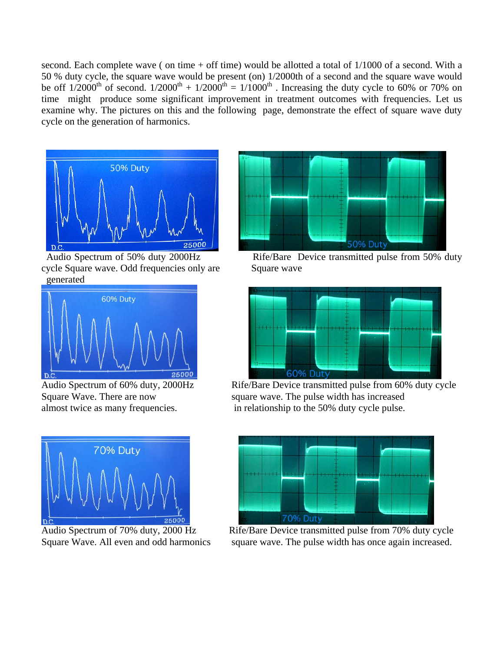second. Each complete wave ( on time  $+$  off time) would be allotted a total of  $1/1000$  of a second. With a 50 % duty cycle, the square wave would be present (on) 1/2000th of a second and the square wave would be off  $1/2000^{th}$  of second.  $1/2000^{th} + 1/2000^{th} = 1/1000^{th}$  . Increasing the duty cycle to 60% or 70% on time might produce some significant improvement in treatment outcomes with frequencies. Let us examine why. The pictures on this and the following page, demonstrate the effect of square wave duty cycle on the generation of harmonics.



cycle Square wave. Odd frequencies only are Square wave generated









Square Wave. There are now square wave. The pulse width has increased almost twice as many frequencies.in relationship to the 50% duty cycle pulse.



Square Wave. All even and odd harmonics square wave. The pulse width has once again increased.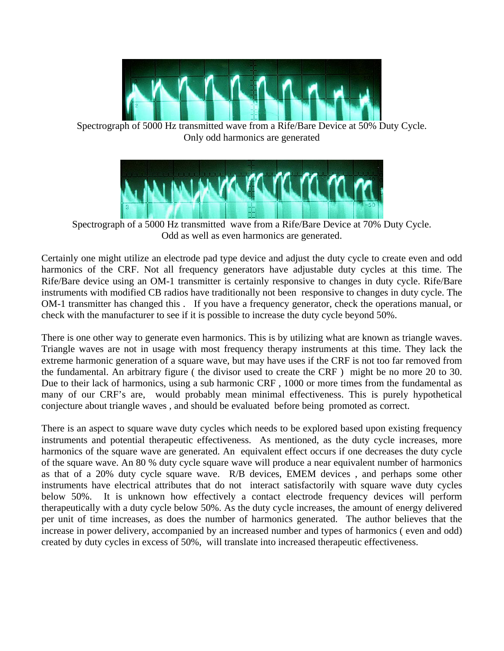

Spectrograph of 5000 Hz transmitted wave from a Rife/Bare Device at 50% Duty Cycle. Only odd harmonics are generated



Spectrograph of a 5000 Hz transmitted wave from a Rife/Bare Device at 70% Duty Cycle. Odd as well as even harmonics are generated.

Certainly one might utilize an electrode pad type device and adjust the duty cycle to create even and odd harmonics of the CRF. Not all frequency generators have adjustable duty cycles at this time. The Rife/Bare device using an OM-1 transmitter is certainly responsive to changes in duty cycle. Rife/Bare instruments with modified CB radios have traditionally not been responsive to changes in duty cycle. The OM-1 transmitter has changed this . If you have a frequency generator, check the operations manual, or check with the manufacturer to see if it is possible to increase the duty cycle beyond 50%.

There is one other way to generate even harmonics. This is by utilizing what are known as triangle waves. Triangle waves are not in usage with most frequency therapy instruments at this time. They lack the extreme harmonic generation of a square wave, but may have uses if the CRF is not too far removed from the fundamental. An arbitrary figure ( the divisor used to create the CRF ) might be no more 20 to 30. Due to their lack of harmonics, using a sub harmonic CRF , 1000 or more times from the fundamental as many of our CRF's are, would probably mean minimal effectiveness. This is purely hypothetical conjecture about triangle waves , and should be evaluated before being promoted as correct.

There is an aspect to square wave duty cycles which needs to be explored based upon existing frequency instruments and potential therapeutic effectiveness. As mentioned, as the duty cycle increases, more harmonics of the square wave are generated. An equivalent effect occurs if one decreases the duty cycle of the square wave. An 80 % duty cycle square wave will produce a near equivalent number of harmonics as that of a 20% duty cycle square wave. R/B devices, EMEM devices , and perhaps some other instruments have electrical attributes that do not interact satisfactorily with square wave duty cycles below 50%. It is unknown how effectively a contact electrode frequency devices will perform therapeutically with a duty cycle below 50%. As the duty cycle increases, the amount of energy delivered per unit of time increases, as does the number of harmonics generated. The author believes that the increase in power delivery, accompanied by an increased number and types of harmonics ( even and odd) created by duty cycles in excess of 50%, will translate into increased therapeutic effectiveness.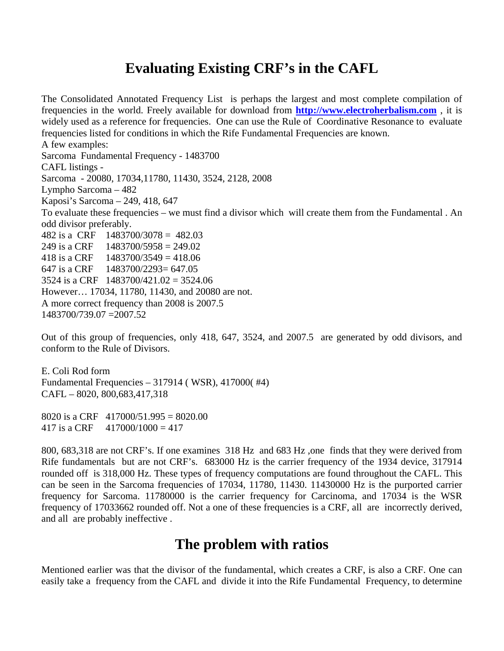## **Evaluating Existing CRF's in the CAFL**

The Consolidated Annotated Frequency List is perhaps the largest and most complete compilation of frequencies in the world. Freely available for download from **[http://www.electroherbalism.com](http://www.electroherbalism.com/)** , it is widely used as a reference for frequencies. One can use the Rule of Coordinative Resonance to evaluate frequencies listed for conditions in which the Rife Fundamental Frequencies are known. A few examples: Sarcoma Fundamental Frequency - 1483700 CAFL listings - Sarcoma - 20080, 17034,11780, 11430, 3524, 2128, 2008 Lympho Sarcoma – 482 Kaposi's Sarcoma – 249, 418, 647 To evaluate these frequencies – we must find a divisor which will create them from the Fundamental . An odd divisor preferably. 482 is a CRF 1483700/3078 = 482.03 249 is a CRF  $1483700/5958 = 249.02$ 418 is a CRF  $1483700/3549 = 418.06$ 647 is a CRF 1483700/2293= 647.05 3524 is a CRF 1483700/421.02 = 3524.06 However… 17034, 11780, 11430, and 20080 are not. A more correct frequency than 2008 is 2007.5 1483700/739.07 =2007.52

Out of this group of frequencies, only 418, 647, 3524, and 2007.5 are generated by odd divisors, and conform to the Rule of Divisors.

E. Coli Rod form Fundamental Frequencies – 317914 ( WSR), 417000( #4) CAFL – 8020, 800,683,417,318

8020 is a CRF  $417000/51.995 = 8020.00$ 417 is a CRF  $417000/1000 = 417$ 

800, 683,318 are not CRF's. If one examines 318 Hz and 683 Hz ,one finds that they were derived from Rife fundamentals but are not CRF's. 683000 Hz is the carrier frequency of the 1934 device, 317914 rounded off is 318,000 Hz. These types of frequency computations are found throughout the CAFL. This can be seen in the Sarcoma frequencies of 17034, 11780, 11430. 11430000 Hz is the purported carrier frequency for Sarcoma. 11780000 is the carrier frequency for Carcinoma, and 17034 is the WSR frequency of 17033662 rounded off. Not a one of these frequencies is a CRF, all are incorrectly derived, and all are probably ineffective .

## **The problem with ratios**

Mentioned earlier was that the divisor of the fundamental, which creates a CRF, is also a CRF. One can easily take a frequency from the CAFL and divide it into the Rife Fundamental Frequency, to determine